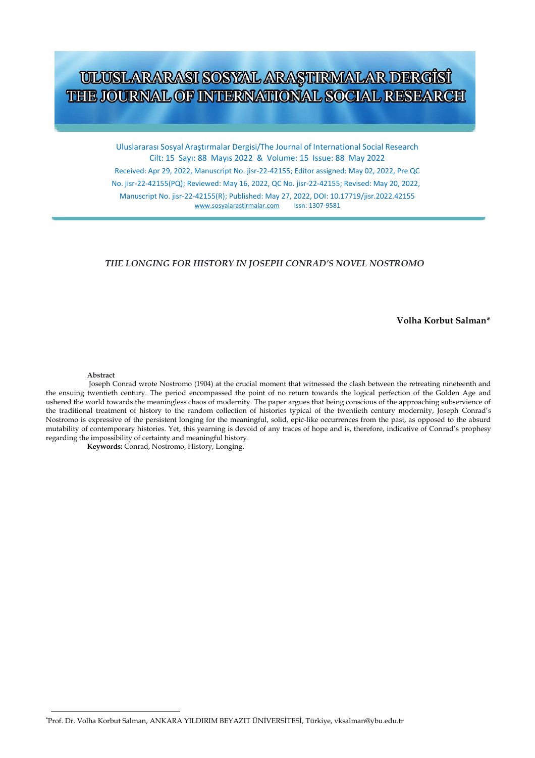# ULUSLARARASI SOSYAL ARAŞTIRMALAR DERGİSİ THE JOURNAL OF INTERNATIONAL SOCIAL RESEARCH

Uluslararası Sosyal Araştırmalar Dergisi/The Journal of International Social Research Cilt: 15 Sayı: 88 Mayıs 2022 & Volume: 15 Issue: 88 May 2022

Received: Apr 29, 2022, Manuscript No. jisr-22-42155; Editor assigned: May 02, 2022, Pre QC No. jisr-22-42155(PQ); Reviewed: May 16, 2022, QC No. jisr-22-42155; Revised: May 20, 2022,

Manuscript No. jisr-22-42155(R); Published: May 27, 2022, DOI: 10.17719/jisr.2022.42155 [www.sosyalarastirmalar.com](http://www.sosyalarastirmalar.com/)

#### *THE LONGING FOR HISTORY IN JOSEPH CONRAD'S NOVEL NOSTROMO*

 **Volha Korbut Salman\***

**Abstract** 

Joseph Conrad wrote Nostromo (1904) at the crucial moment that witnessed the clash between the retreating nineteenth and the ensuing twentieth century. The period encompassed the point of no return towards the logical perfection of the Golden Age and ushered the world towards the meaningless chaos of modernity. The paper argues that being conscious of the approaching subservience of the traditional treatment of history to the random collection of histories typical of the twentieth century modernity, Joseph Conrad's Nostromo is expressive of the persistent longing for the meaningful, solid, epic-like occurrences from the past, as opposed to the absurd mutability of contemporary histories. Yet, this yearning is devoid of any traces of hope and is, therefore, indicative of Conrad's prophesy regarding the impossibility of certainty and meaningful history.

**Keywords:** Conrad, Nostromo, History, Longing.

\*Prof. Dr. Volha Korbut Salman, ANKARA YILDIRIM BEYAZIT ÜNİVERSİTESİ, Türkiye, vksalman@ybu.edu.tr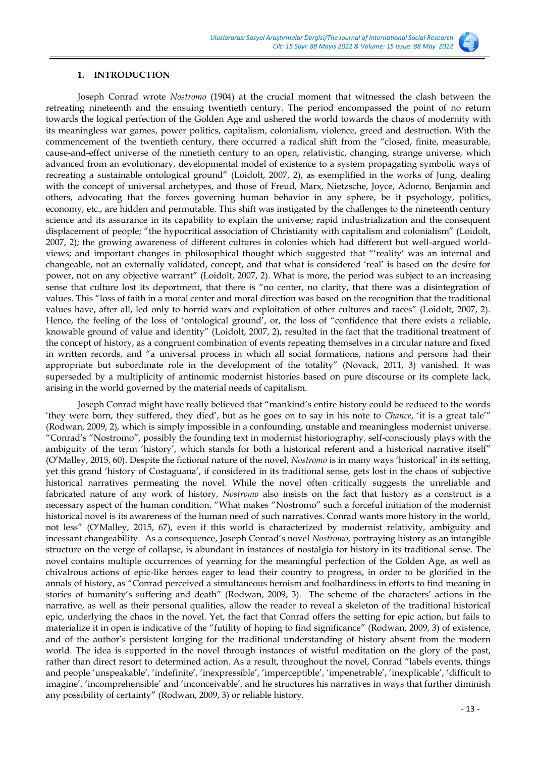

#### **1. INTRODUCTION**

Joseph Conrad wrote *Nostromo* (1904) at the crucial moment that witnessed the clash between the retreating nineteenth and the ensuing twentieth century. The period encompassed the point of no return towards the logical perfection of the Golden Age and ushered the world towards the chaos of modernity with its meaningless war games, power politics, capitalism, colonialism, violence, greed and destruction. With the commencement of the twentieth century, there occurred a radical shift from the "closed, finite, measurable, cause-and-effect universe of the ninetieth century to an open, relativistic, changing, strange universe, which advanced from an evolutionary, developmental model of existence to a system propagating symbolic ways of recreating a sustainable ontological ground" (Loidolt, 2007, 2), as exemplified in the works of Jung, dealing with the concept of universal archetypes, and those of Freud, Marx, Nietzsche, Joyce, Adorno, Benjamin and others, advocating that the forces governing human behavior in any sphere, be it psychology, politics, economy, etc., are hidden and permutable. This shift was instigated by the challenges to the nineteenth century science and its assurance in its capability to explain the universe; rapid industrialization and the consequent displacement of people; "the hypocritical association of Christianity with capitalism and colonialism" (Loidolt, 2007, 2); the growing awareness of different cultures in colonies which had different but well-argued worldviews; and important changes in philosophical thought which suggested that "'reality' was an internal and changeable, not an externally validated, concept, and that what is considered 'real' is based on the desire for power, not on any objective warrant" (Loidolt, 2007, 2). What is more, the period was subject to an increasing sense that culture lost its deportment, that there is "no center, no clarity, that there was a disintegration of values. This "loss of faith in a moral center and moral direction was based on the recognition that the traditional values have, after all, led only to horrid wars and exploitation of other cultures and races" (Loidolt, 2007, 2). Hence, the feeling of the loss of 'ontological ground', or, the loss of "confidence that there exists a reliable, knowable ground of value and identity" (Loidolt, 2007, 2), resulted in the fact that the traditional treatment of the concept of history, as a congruent combination of events repeating themselves in a circular nature and fixed in written records, and "a universal process in which all social formations, nations and persons had their appropriate but subordinate role in the development of the totality" (Novack, 2011, 3) vanished. It was superseded by a multiplicity of antinomic modernist histories based on pure discourse or its complete lack, arising in the world governed by the material needs of capitalism.

Joseph Conrad might have really believed that "mankind's entire history could be reduced to the words 'they were born, they suffered, they died', but as he goes on to say in his note to *Chance*, 'it is a great tale'" (Rodwan, 2009, 2), which is simply impossible in a confounding, unstable and meaningless modernist universe. "Conrad's "Nostromo", possibly the founding text in modernist historiography, self-consciously plays with the ambiguity of the term 'history', which stands for both a historical referent and a historical narrative itself" (O'Malley, 2015, 60). Despite the fictional nature of the novel, *Nostromo* is in many ways 'historical' in its setting, yet this grand 'history of Costaguana', if considered in its traditional sense, gets lost in the chaos of subjective historical narratives permeating the novel. While the novel often critically suggests the unreliable and fabricated nature of any work of history, *Nostromo* also insists on the fact that history as a construct is a necessary aspect of the human condition. "What makes "Nostromo" such a forceful initiation of the modernist historical novel is its awareness of the human need of such narratives. Conrad wants more history in the world, not less" (O'Malley, 2015, 67), even if this world is characterized by modernist relativity, ambiguity and incessant changeability. As a consequence, Joseph Conrad's novel *Nostromo*, portraying history as an intangible structure on the verge of collapse, is abundant in instances of nostalgia for history in its traditional sense. The novel contains multiple occurrences of yearning for the meaningful perfection of the Golden Age, as well as chivalrous actions of epic-like heroes eager to lead their country to progress, in order to be glorified in the annals of history, as "Conrad perceived a simultaneous heroism and foolhardiness in efforts to find meaning in stories of humanity's suffering and death" (Rodwan, 2009, 3). The scheme of the characters' actions in the narrative, as well as their personal qualities, allow the reader to reveal a skeleton of the traditional historical epic, underlying the chaos in the novel. Yet, the fact that Conrad offers the setting for epic action, but fails to materialize it in open is indicative of the "futility of hoping to find significance" (Rodwan, 2009, 3) of existence, and of the author's persistent longing for the traditional understanding of history absent from the modern world. The idea is supported in the novel through instances of wistful meditation on the glory of the past, rather than direct resort to determined action. As a result, throughout the novel, Conrad "labels events, things and people 'unspeakable', 'indefinite', 'inexpressible', 'imperceptible', 'impenetrable', 'inexplicable', 'difficult to imagine', 'incomprehensible' and 'inconceivable', and he structures his narratives in ways that further diminish any possibility of certainty" (Rodwan, 2009, 3) or reliable history.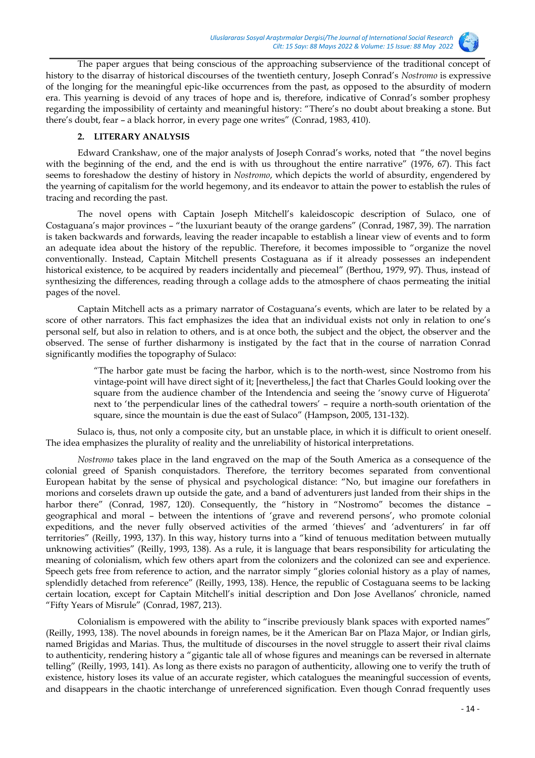

The paper argues that being conscious of the approaching subservience of the traditional concept of history to the disarray of historical discourses of the twentieth century, Joseph Conrad's *Nostromo* is expressive of the longing for the meaningful epic-like occurrences from the past, as opposed to the absurdity of modern era. This yearning is devoid of any traces of hope and is, therefore, indicative of Conrad's somber prophesy regarding the impossibility of certainty and meaningful history: "There's no doubt about breaking a stone. But there's doubt, fear – a black horror, in every page one writes" (Conrad, 1983, 410).

## **2. LITERARY ANALYSIS**

Edward Crankshaw, one of the major analysts of Joseph Conrad's works, noted that "the novel begins with the beginning of the end, and the end is with us throughout the entire narrative" (1976, 67). This fact seems to foreshadow the destiny of history in *Nostromo*, which depicts the world of absurdity, engendered by the yearning of capitalism for the world hegemony, and its endeavor to attain the power to establish the rules of tracing and recording the past.

The novel opens with Captain Joseph Mitchell's kaleidoscopic description of Sulaco, one of Costaguana's major provinces – "the luxuriant beauty of the orange gardens" (Conrad, 1987, 39). The narration is taken backwards and forwards, leaving the reader incapable to establish a linear view of events and to form an adequate idea about the history of the republic. Therefore, it becomes impossible to "organize the novel conventionally. Instead, Captain Mitchell presents Costaguana as if it already possesses an independent historical existence, to be acquired by readers incidentally and piecemeal" (Berthou, 1979, 97). Thus, instead of synthesizing the differences, reading through a collage adds to the atmosphere of chaos permeating the initial pages of the novel.

Captain Mitchell acts as a primary narrator of Costaguana's events, which are later to be related by a score of other narrators. This fact emphasizes the idea that an individual exists not only in relation to one's personal self, but also in relation to others, and is at once both, the subject and the object, the observer and the observed. The sense of further disharmony is instigated by the fact that in the course of narration Conrad significantly modifies the topography of Sulaco:

> "The harbor gate must be facing the harbor, which is to the north-west, since Nostromo from his vintage-point will have direct sight of it; [nevertheless,] the fact that Charles Gould looking over the square from the audience chamber of the Intendencia and seeing the 'snowy curve of Higuerota' next to 'the perpendicular lines of the cathedral towers' – require a north-south orientation of the square, since the mountain is due the east of Sulaco" (Hampson, 2005, 131-132).

Sulaco is, thus, not only a composite city, but an unstable place, in which it is difficult to orient oneself. The idea emphasizes the plurality of reality and the unreliability of historical interpretations.

*Nostromo* takes place in the land engraved on the map of the South America as a consequence of the colonial greed of Spanish conquistadors. Therefore, the territory becomes separated from conventional European habitat by the sense of physical and psychological distance: "No, but imagine our forefathers in morions and corselets drawn up outside the gate, and a band of adventurers just landed from their ships in the harbor there" (Conrad, 1987, 120). Consequently, the "history in "Nostromo" becomes the distance geographical and moral – between the intentions of 'grave and reverend persons', who promote colonial expeditions, and the never fully observed activities of the armed 'thieves' and 'adventurers' in far off territories" (Reilly, 1993, 137). In this way, history turns into a "kind of tenuous meditation between mutually unknowing activities" (Reilly, 1993, 138). As a rule, it is language that bears responsibility for articulating the meaning of colonialism, which few others apart from the colonizers and the colonized can see and experience. Speech gets free from reference to action, and the narrator simply "glories colonial history as a play of names, splendidly detached from reference" (Reilly, 1993, 138). Hence, the republic of Costaguana seems to be lacking certain location, except for Captain Mitchell's initial description and Don Jose Avellanos' chronicle, named "Fifty Years of Misrule" (Conrad, 1987, 213).

Colonialism is empowered with the ability to "inscribe previously blank spaces with exported names" (Reilly, 1993, 138). The novel abounds in foreign names, be it the American Bar on Plaza Major, or Indian girls, named Brigidas and Marias. Thus, the multitude of discourses in the novel struggle to assert their rival claims to authenticity, rendering history a "gigantic tale all of whose figures and meanings can be reversed in alternate telling" (Reilly, 1993, 141). As long as there exists no paragon of authenticity, allowing one to verify the truth of existence, history loses its value of an accurate register, which catalogues the meaningful succession of events, and disappears in the chaotic interchange of unreferenced signification. Even though Conrad frequently uses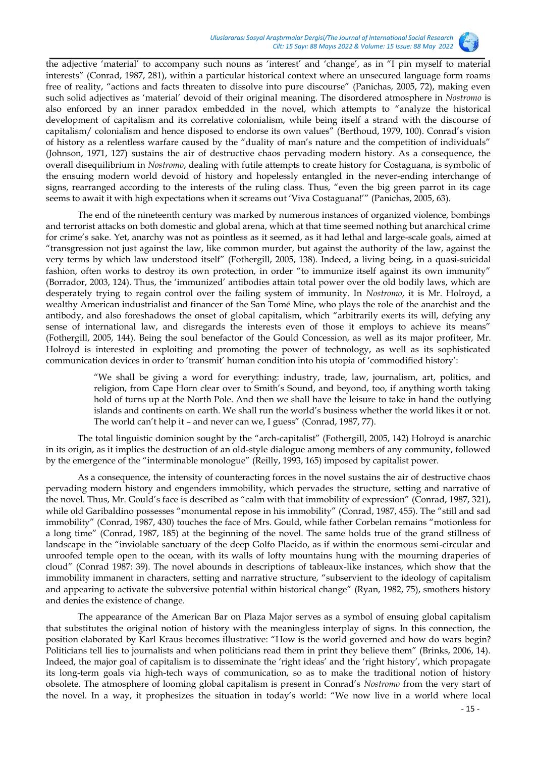

the adjective 'material' to accompany such nouns as 'interest' and 'change', as in "I pin myself to material interests" (Conrad, 1987, 281), within a particular historical context where an unsecured language form roams free of reality, "actions and facts threaten to dissolve into pure discourse" (Panichas, 2005, 72), making even such solid adjectives as 'material' devoid of their original meaning. The disordered atmosphere in *Nostromo* is also enforced by an inner paradox embedded in the novel, which attempts to "analyze the historical development of capitalism and its correlative colonialism, while being itself a strand with the discourse of capitalism/ colonialism and hence disposed to endorse its own values" (Berthoud, 1979, 100). Conrad's vision of history as a relentless warfare caused by the "duality of man's nature and the competition of individuals" (Johnson, 1971, 127) sustains the air of destructive chaos pervading modern history. As a consequence, the overall disequilibrium in *Nostromo*, dealing with futile attempts to create history for Costaguana, is symbolic of the ensuing modern world devoid of history and hopelessly entangled in the never-ending interchange of signs, rearranged according to the interests of the ruling class. Thus, "even the big green parrot in its cage seems to await it with high expectations when it screams out 'Viva Costaguana!'" (Panichas, 2005, 63).

The end of the nineteenth century was marked by numerous instances of organized violence, bombings and terrorist attacks on both domestic and global arena, which at that time seemed nothing but anarchical crime for crime's sake. Yet, anarchy was not as pointless as it seemed, as it had lethal and large-scale goals, aimed at "transgression not just against the law, like common murder, but against the authority of the law, against the very terms by which law understood itself" (Fothergill, 2005, 138). Indeed, a living being, in a quasi-suicidal fashion, often works to destroy its own protection, in order "to immunize itself against its own immunity" (Borrador, 2003, 124). Thus, the 'immunized' antibodies attain total power over the old bodily laws, which are desperately trying to regain control over the failing system of immunity. In *Nostromo*, it is Mr. Holroyd, a wealthy American industrialist and financer of the San Tomé Mine, who plays the role of the anarchist and the antibody, and also foreshadows the onset of global capitalism, which "arbitrarily exerts its will, defying any sense of international law, and disregards the interests even of those it employs to achieve its means" (Fothergill, 2005, 144). Being the soul benefactor of the Gould Concession, as well as its major profiteer, Mr. Holroyd is interested in exploiting and promoting the power of technology, as well as its sophisticated communication devices in order to 'transmit' human condition into his utopia of 'commodified history':

> "We shall be giving a word for everything: industry, trade, law, journalism, art, politics, and religion, from Cape Horn clear over to Smith's Sound, and beyond, too, if anything worth taking hold of turns up at the North Pole. And then we shall have the leisure to take in hand the outlying islands and continents on earth. We shall run the world's business whether the world likes it or not. The world can't help it – and never can we, I guess" (Conrad, 1987, 77).

The total linguistic dominion sought by the "arch-capitalist" (Fothergill, 2005, 142) Holroyd is anarchic in its origin, as it implies the destruction of an old-style dialogue among members of any community, followed by the emergence of the "interminable monologue" (Reilly, 1993, 165) imposed by capitalist power.

As a consequence, the intensity of counteracting forces in the novel sustains the air of destructive chaos pervading modern history and engenders immobility, which pervades the structure, setting and narrative of the novel. Thus, Mr. Gould's face is described as "calm with that immobility of expression" (Conrad, 1987, 321), while old Garibaldino possesses "monumental repose in his immobility" (Conrad, 1987, 455). The "still and sad immobility" (Conrad, 1987, 430) touches the face of Mrs. Gould, while father Corbelan remains "motionless for a long time" (Conrad, 1987, 185) at the beginning of the novel. The same holds true of the grand stillness of landscape in the "inviolable sanctuary of the deep Golfo Placido, as if within the enormous semi-circular and unroofed temple open to the ocean, with its walls of lofty mountains hung with the mourning draperies of cloud" (Conrad 1987: 39). The novel abounds in descriptions of tableaux-like instances, which show that the immobility immanent in characters, setting and narrative structure, "subservient to the ideology of capitalism and appearing to activate the subversive potential within historical change" (Ryan, 1982, 75), smothers history and denies the existence of change.

The appearance of the American Bar on Plaza Major serves as a symbol of ensuing global capitalism that substitutes the original notion of history with the meaningless interplay of signs. In this connection, the position elaborated by Karl Kraus becomes illustrative: "How is the world governed and how do wars begin? Politicians tell lies to journalists and when politicians read them in print they believe them" (Brinks, 2006, 14). Indeed, the major goal of capitalism is to disseminate the 'right ideas' and the 'right history', which propagate its long-term goals via high-tech ways of communication, so as to make the traditional notion of history obsolete. The atmosphere of looming global capitalism is present in Conrad's *Nostromo* from the very start of the novel. In a way, it prophesizes the situation in today's world: "We now live in a world where local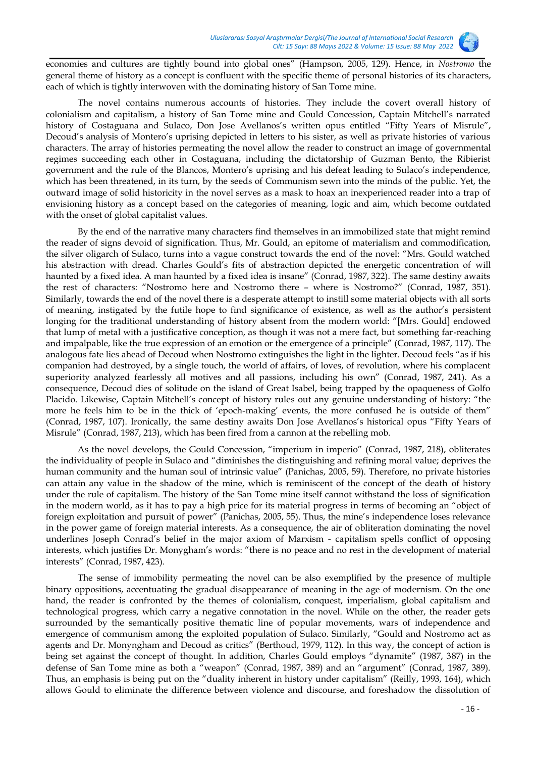

economies and cultures are tightly bound into global ones" (Hampson, 2005, 129). Hence, in *Nostromo* the general theme of history as a concept is confluent with the specific theme of personal histories of its characters, each of which is tightly interwoven with the dominating history of San Tome mine.

The novel contains numerous accounts of histories. They include the covert overall history of colonialism and capitalism, a history of San Tome mine and Gould Concession, Captain Mitchell's narrated history of Costaguana and Sulaco, Don Jose Avellanos's written opus entitled "Fifty Years of Misrule", Decoud's analysis of Montero's uprising depicted in letters to his sister, as well as private histories of various characters. The array of histories permeating the novel allow the reader to construct an image of governmental regimes succeeding each other in Costaguana, including the dictatorship of Guzman Bento, the Ribierist government and the rule of the Blancos, Montero's uprising and his defeat leading to Sulaco's independence, which has been threatened, in its turn, by the seeds of Communism sewn into the minds of the public. Yet, the outward image of solid historicity in the novel serves as a mask to hoax an inexperienced reader into a trap of envisioning history as a concept based on the categories of meaning, logic and aim, which become outdated with the onset of global capitalist values.

By the end of the narrative many characters find themselves in an immobilized state that might remind the reader of signs devoid of signification. Thus, Mr. Gould, an epitome of materialism and commodification, the silver oligarch of Sulaco, turns into a vague construct towards the end of the novel: "Mrs. Gould watched his abstraction with dread. Charles Gould's fits of abstraction depicted the energetic concentration of will haunted by a fixed idea. A man haunted by a fixed idea is insane" (Conrad, 1987, 322). The same destiny awaits the rest of characters: "Nostromo here and Nostromo there – where is Nostromo?" (Conrad, 1987, 351). Similarly, towards the end of the novel there is a desperate attempt to instill some material objects with all sorts of meaning, instigated by the futile hope to find significance of existence, as well as the author's persistent longing for the traditional understanding of history absent from the modern world: "[Mrs. Gould] endowed that lump of metal with a justificative conception, as though it was not a mere fact, but something far-reaching and impalpable, like the true expression of an emotion or the emergence of a principle" (Conrad, 1987, 117). The analogous fate lies ahead of Decoud when Nostromo extinguishes the light in the lighter. Decoud feels "as if his companion had destroyed, by a single touch, the world of affairs, of loves, of revolution, where his complacent superiority analyzed fearlessly all motives and all passions, including his own" (Conrad, 1987, 241). As a consequence, Decoud dies of solitude on the island of Great Isabel, being trapped by the opaqueness of Golfo Placido. Likewise, Captain Mitchell's concept of history rules out any genuine understanding of history: "the more he feels him to be in the thick of 'epoch-making' events, the more confused he is outside of them" (Conrad, 1987, 107). Ironically, the same destiny awaits Don Jose Avellanos's historical opus "Fifty Years of Misrule" (Conrad, 1987, 213), which has been fired from a cannon at the rebelling mob.

As the novel develops, the Gould Concession, "imperium in imperio" (Conrad, 1987, 218), obliterates the individuality of people in Sulaco and "diminishes the distinguishing and refining moral value; deprives the human community and the human soul of intrinsic value" (Panichas, 2005, 59). Therefore, no private histories can attain any value in the shadow of the mine, which is reminiscent of the concept of the death of history under the rule of capitalism. The history of the San Tome mine itself cannot withstand the loss of signification in the modern world, as it has to pay a high price for its material progress in terms of becoming an "object of foreign exploitation and pursuit of power" (Panichas, 2005, 55). Thus, the mine's independence loses relevance in the power game of foreign material interests. As a consequence, the air of obliteration dominating the novel underlines Joseph Conrad's belief in the major axiom of Marxism - capitalism spells conflict of opposing interests, which justifies Dr. Monygham's words: "there is no peace and no rest in the development of material interests" (Conrad, 1987, 423).

The sense of immobility permeating the novel can be also exemplified by the presence of multiple binary oppositions, accentuating the gradual disappearance of meaning in the age of modernism. On the one hand, the reader is confronted by the themes of colonialism, conquest, imperialism, global capitalism and technological progress, which carry a negative connotation in the novel. While on the other, the reader gets surrounded by the semantically positive thematic line of popular movements, wars of independence and emergence of communism among the exploited population of Sulaco. Similarly, "Gould and Nostromo act as agents and Dr. Monyngham and Decoud as critics" (Berthoud, 1979, 112). In this way, the concept of action is being set against the concept of thought. In addition, Charles Gould employs "dynamite" (1987, 387) in the defense of San Tome mine as both a "weapon" (Conrad, 1987, 389) and an "argument" (Conrad, 1987, 389). Thus, an emphasis is being put on the "duality inherent in history under capitalism" (Reilly, 1993, 164), which allows Gould to eliminate the difference between violence and discourse, and foreshadow the dissolution of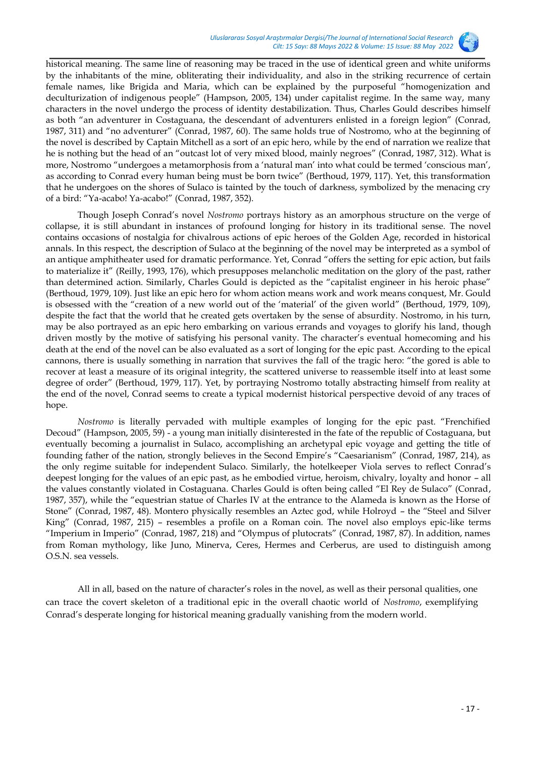

historical meaning. The same line of reasoning may be traced in the use of identical green and white uniforms by the inhabitants of the mine, obliterating their individuality, and also in the striking recurrence of certain female names, like Brigida and Maria, which can be explained by the purposeful "homogenization and deculturization of indigenous people" (Hampson, 2005, 134) under capitalist regime. In the same way, many characters in the novel undergo the process of identity destabilization. Thus, Charles Gould describes himself as both "an adventurer in Costaguana, the descendant of adventurers enlisted in a foreign legion" (Conrad, 1987, 311) and "no adventurer" (Conrad, 1987, 60). The same holds true of Nostromo, who at the beginning of the novel is described by Captain Mitchell as a sort of an epic hero, while by the end of narration we realize that he is nothing but the head of an "outcast lot of very mixed blood, mainly negroes" (Conrad, 1987, 312). What is more, Nostromo "undergoes a metamorphosis from a 'natural man' into what could be termed 'conscious man', as according to Conrad every human being must be born twice" (Berthoud, 1979, 117). Yet, this transformation that he undergoes on the shores of Sulaco is tainted by the touch of darkness, symbolized by the menacing cry of a bird: "Ya-acabo! Ya-acabo!" (Conrad, 1987, 352).

Though Joseph Conrad's novel *Nostromo* portrays history as an amorphous structure on the verge of collapse, it is still abundant in instances of profound longing for history in its traditional sense. The novel contains occasions of nostalgia for chivalrous actions of epic heroes of the Golden Age, recorded in historical annals. In this respect, the description of Sulaco at the beginning of the novel may be interpreted as a symbol of an antique amphitheater used for dramatic performance. Yet, Conrad "offers the setting for epic action, but fails to materialize it" (Reilly, 1993, 176), which presupposes melancholic meditation on the glory of the past, rather than determined action. Similarly, Charles Gould is depicted as the "capitalist engineer in his heroic phase" (Berthoud, 1979, 109). Just like an epic hero for whom action means work and work means conquest, Mr. Gould is obsessed with the "creation of a new world out of the 'material' of the given world" (Berthoud, 1979, 109), despite the fact that the world that he created gets overtaken by the sense of absurdity. Nostromo, in his turn, may be also portrayed as an epic hero embarking on various errands and voyages to glorify his land, though driven mostly by the motive of satisfying his personal vanity. The character's eventual homecoming and his death at the end of the novel can be also evaluated as a sort of longing for the epic past. According to the epical cannons, there is usually something in narration that survives the fall of the tragic hero: "the gored is able to recover at least a measure of its original integrity, the scattered universe to reassemble itself into at least some degree of order" (Berthoud, 1979, 117). Yet, by portraying Nostromo totally abstracting himself from reality at the end of the novel, Conrad seems to create a typical modernist historical perspective devoid of any traces of hope.

*Nostromo* is literally pervaded with multiple examples of longing for the epic past. "Frenchified Decoud" (Hampson, 2005, 59) - a young man initially disinterested in the fate of the republic of Costaguana, but eventually becoming a journalist in Sulaco, accomplishing an archetypal epic voyage and getting the title of founding father of the nation, strongly believes in the Second Empire's "Caesarianism" (Conrad, 1987, 214), as the only regime suitable for independent Sulaco. Similarly, the hotelkeeper Viola serves to reflect Conrad's deepest longing for the values of an epic past, as he embodied virtue, heroism, chivalry, loyalty and honor – all the values constantly violated in Costaguana. Charles Gould is often being called "El Rey de Sulaco" (Conrad, 1987, 357), while the "equestrian statue of Charles IV at the entrance to the Alameda is known as the Horse of Stone" (Conrad, 1987, 48). Montero physically resembles an Aztec god, while Holroyd – the "Steel and Silver King" (Conrad, 1987, 215) – resembles a profile on a Roman coin. The novel also employs epic-like terms "Imperium in Imperio" (Conrad, 1987, 218) and "Olympus of plutocrats" (Conrad, 1987, 87). In addition, names from Roman mythology, like Juno, Minerva, Ceres, Hermes and Cerberus, are used to distinguish among O.S.N. sea vessels.

All in all, based on the nature of character's roles in the novel, as well as their personal qualities, one can trace the covert skeleton of a traditional epic in the overall chaotic world of *Nostromo*, exemplifying Conrad's desperate longing for historical meaning gradually vanishing from the modern world.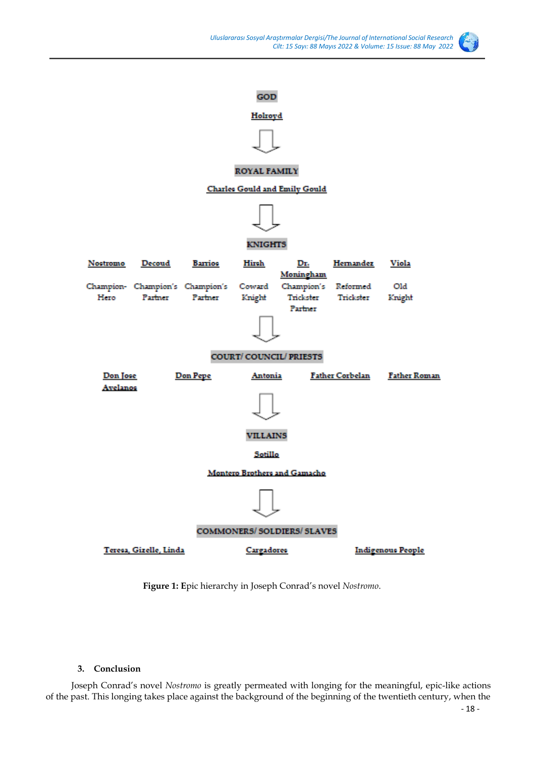

# GOD

## Holroyd



# ROYAL FAMILY

#### **Charles Gould and Emily Gould**



#### **KNIGHTS**



**Figure 1: E**pic hierarchy in Joseph Conrad's novel *Nostromo*.

## **3. Conclusion**

Joseph Conrad's novel *Nostromo* is greatly permeated with longing for the meaningful, epic-like actions of the past. This longing takes place against the background of the beginning of the twentieth century, when the